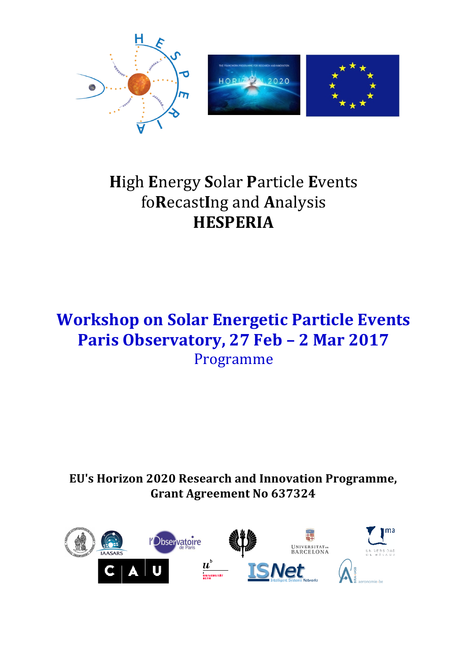



# **High Energy Solar Particle Events** foRecastIng and Analysis **HESPERIA**

# **Workshop on Solar Energetic Particle Events** Paris Observatory, 27 Feb - 2 Mar 2017 Programme

EU's Horizon 2020 Research and Innovation Programme, **Grant Agreement No 637324** 

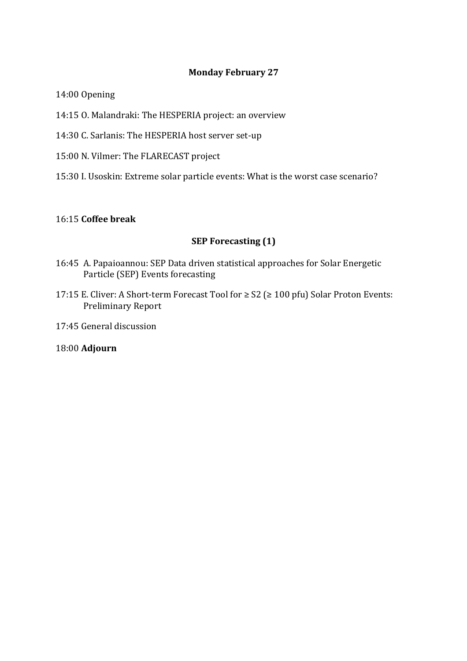## **Monday February 27**

14:00 Opening

- 14:15 O. Malandraki: The HESPERIA project: an overview
- 14:30 C. Sarlanis: The HESPERIA host server set-up
- 15:00 N. Vilmer: The FLARECAST project
- 15:30 I. Usoskin: Extreme solar particle events: What is the worst case scenario?

#### 16:15 **Coffee break**

#### **SEP Forecasting (1)**

- 16:45 A. Papaioannou: SEP Data driven statistical approaches for Solar Energetic Particle (SEP) Events forecasting
- 17:15 E. Cliver: A Short-term Forecast Tool for  $\geq$  S2 ( $\geq$  100 pfu) Solar Proton Events: Preliminary Report
- 17:45 General discussion

18:00 **Adjourn**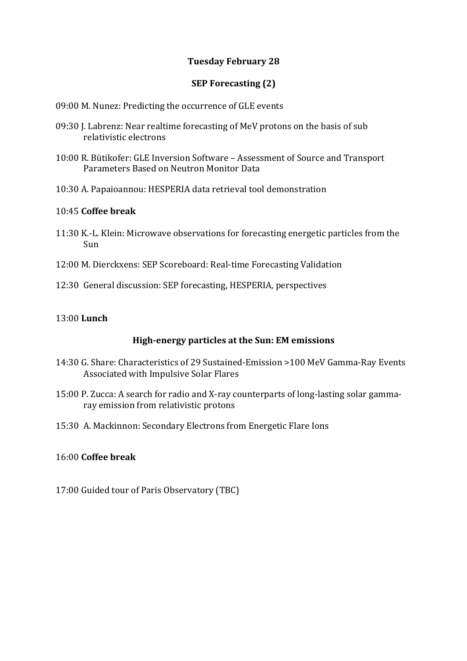## **Tuesday February 28**

# **SEP Forecasting (2)**

- 09:00 M. Nunez: Predicting the occurrence of GLE events
- 09:30 J. Labrenz: Near realtime forecasting of MeV protons on the basis of sub relativistic electrons
- 10:00 R. Bütikofer: GLE Inversion Software Assessment of Source and Transport Parameters Based on Neutron Monitor Data
- 10:30 A. Papaioannou: HESPERIA data retrieval tool demonstration

#### 10:45 **Coffee break**

- 11:30 K.-L. Klein: Microwave observations for forecasting energetic particles from the Sun
- 12:00 M. Dierckxens: SEP Scoreboard: Real-time Forecasting Validation
- 12:30 General discussion: SEP forecasting, HESPERIA, perspectives

#### 13:00 **Lunch**

#### **High-energy particles at the Sun: EM emissions**

- 14:30 G. Share: Characteristics of 29 Sustained-Emission >100 MeV Gamma-Ray Events Associated with Impulsive Solar Flares
- 15:00 P. Zucca: A search for radio and X-ray counterparts of long-lasting solar gammaray emission from relativistic protons
- 15:30 A. Mackinnon: Secondary Electrons from Energetic Flare Ions

#### 16:00 **Coffee break**

17:00 Guided tour of Paris Observatory (TBC)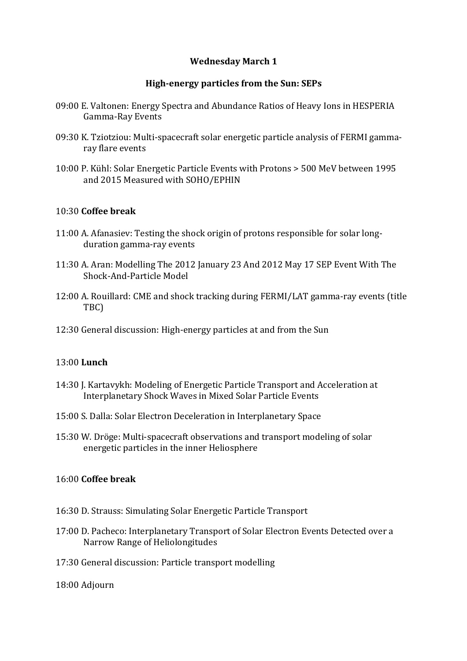## **Wednesday March 1**

#### **High-energy particles from the Sun: SEPs**

- 09:00 E. Valtonen: Energy Spectra and Abundance Ratios of Heavy Ions in HESPERIA Gamma-Ray Events
- 09:30 K. Tziotziou: Multi-spacecraft solar energetic particle analysis of FERMI gammaray flare events
- 10:00 P. Kühl: Solar Energetic Particle Events with Protons > 500 MeV between 1995 and 2015 Measured with SOHO/EPHIN

#### 10:30 **Coffee break**

- 11:00 A. Afanasiev: Testing the shock origin of protons responsible for solar longduration gamma-ray events
- 11:30 A. Aran: Modelling The 2012 January 23 And 2012 May 17 SEP Event With The Shock-And-Particle Model
- 12:00 A. Rouillard: CME and shock tracking during FERMI/LAT gamma-ray events (title TBC)
- 12:30 General discussion: High-energy particles at and from the Sun

# 13:00 **Lunch**

- 14:30 J. Kartavykh: Modeling of Energetic Particle Transport and Acceleration at Interplanetary Shock Waves in Mixed Solar Particle Events
- 15:00 S. Dalla: Solar Electron Deceleration in Interplanetary Space
- 15:30 W. Dröge: Multi-spacecraft observations and transport modeling of solar energetic particles in the inner Heliosphere

## 16:00 **Coffee break**

- 16:30 D. Strauss: Simulating Solar Energetic Particle Transport
- 17:00 D. Pacheco: Interplanetary Transport of Solar Electron Events Detected over a Narrow Range of Heliolongitudes
- 17:30 General discussion: Particle transport modelling
- 18:00 Adjourn